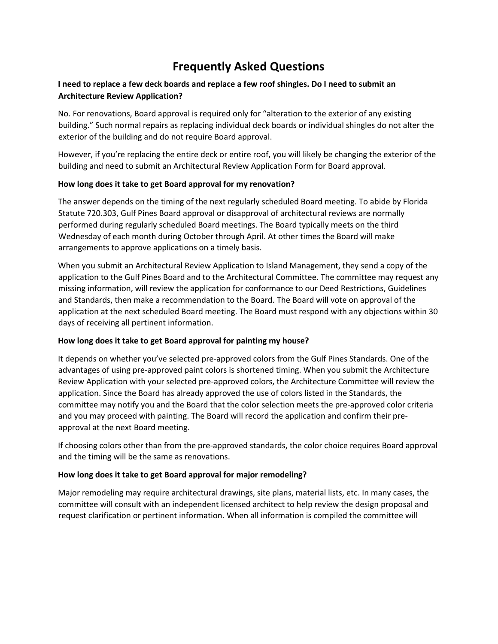# **Frequently Asked Questions**

## **I need to replace a few deck boards and replace a few roof shingles. Do I need to submit an Architecture Review Application?**

No. For renovations, Board approval is required only for "alteration to the exterior of any existing building." Such normal repairs as replacing individual deck boards or individual shingles do not alter the exterior of the building and do not require Board approval.

However, if you're replacing the entire deck or entire roof, you will likely be changing the exterior of the building and need to submit an Architectural Review Application Form for Board approval.

## **How long does it take to get Board approval for my renovation?**

The answer depends on the timing of the next regularly scheduled Board meeting. To abide by Florida Statute 720.303, Gulf Pines Board approval or disapproval of architectural reviews are normally performed during regularly scheduled Board meetings. The Board typically meets on the third Wednesday of each month during October through April. At other times the Board will make arrangements to approve applications on a timely basis.

When you submit an Architectural Review Application to Island Management, they send a copy of the application to the Gulf Pines Board and to the Architectural Committee. The committee may request any missing information, will review the application for conformance to our Deed Restrictions, Guidelines and Standards, then make a recommendation to the Board. The Board will vote on approval of the application at the next scheduled Board meeting. The Board must respond with any objections within 30 days of receiving all pertinent information.

## **How long does it take to get Board approval for painting my house?**

It depends on whether you've selected pre-approved colors from the Gulf Pines Standards. One of the advantages of using pre-approved paint colors is shortened timing. When you submit the Architecture Review Application with your selected pre-approved colors, the Architecture Committee will review the application. Since the Board has already approved the use of colors listed in the Standards, the committee may notify you and the Board that the color selection meets the pre-approved color criteria and you may proceed with painting. The Board will record the application and confirm their preapproval at the next Board meeting.

If choosing colors other than from the pre-approved standards, the color choice requires Board approval and the timing will be the same as renovations.

#### **How long does it take to get Board approval for major remodeling?**

Major remodeling may require architectural drawings, site plans, material lists, etc. In many cases, the committee will consult with an independent licensed architect to help review the design proposal and request clarification or pertinent information. When all information is compiled the committee will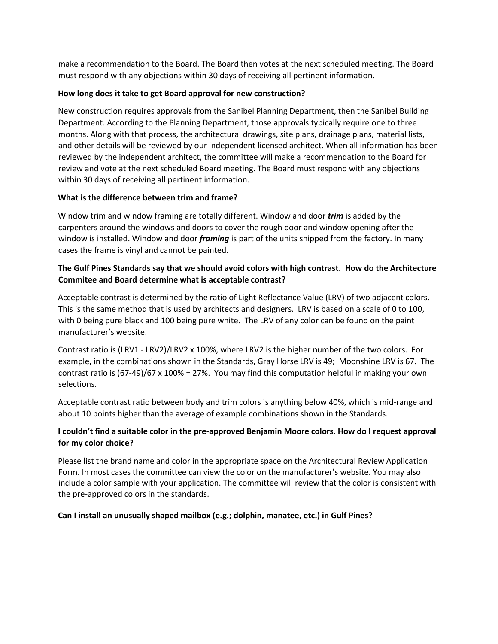make a recommendation to the Board. The Board then votes at the next scheduled meeting. The Board must respond with any objections within 30 days of receiving all pertinent information.

### **How long does it take to get Board approval for new construction?**

New construction requires approvals from the Sanibel Planning Department, then the Sanibel Building Department. According to the Planning Department, those approvals typically require one to three months. Along with that process, the architectural drawings, site plans, drainage plans, material lists, and other details will be reviewed by our independent licensed architect. When all information has been reviewed by the independent architect, the committee will make a recommendation to the Board for review and vote at the next scheduled Board meeting. The Board must respond with any objections within 30 days of receiving all pertinent information.

## **What is the difference between trim and frame?**

Window trim and window framing are totally different. Window and door *trim* is added by the carpenters around the windows and doors to cover the rough door and window opening after the window is installed. Window and door *framing* is part of the units shipped from the factory. In many cases the frame is vinyl and cannot be painted.

# **The Gulf Pines Standards say that we should avoid colors with high contrast. How do the Architecture Commitee and Board determine what is acceptable contrast?**

Acceptable contrast is determined by the ratio of Light Reflectance Value (LRV) of two adjacent colors. This is the same method that is used by architects and designers. LRV is based on a scale of 0 to 100, with 0 being pure black and 100 being pure white. The LRV of any color can be found on the paint manufacturer's website.

Contrast ratio is (LRV1 - LRV2)/LRV2 x 100%, where LRV2 is the higher number of the two colors. For example, in the combinations shown in the Standards, Gray Horse LRV is 49; Moonshine LRV is 67. The contrast ratio is  $(67-49)/67 \times 100\% = 27\%$ . You may find this computation helpful in making your own selections.

Acceptable contrast ratio between body and trim colors is anything below 40%, which is mid-range and about 10 points higher than the average of example combinations shown in the Standards.

## **I couldn't find a suitable color in the pre-approved Benjamin Moore colors. How do I request approval for my color choice?**

Please list the brand name and color in the appropriate space on the Architectural Review Application Form. In most cases the committee can view the color on the manufacturer's website. You may also include a color sample with your application. The committee will review that the color is consistent with the pre-approved colors in the standards.

#### **Can I install an unusually shaped mailbox (e.g.; dolphin, manatee, etc.) in Gulf Pines?**